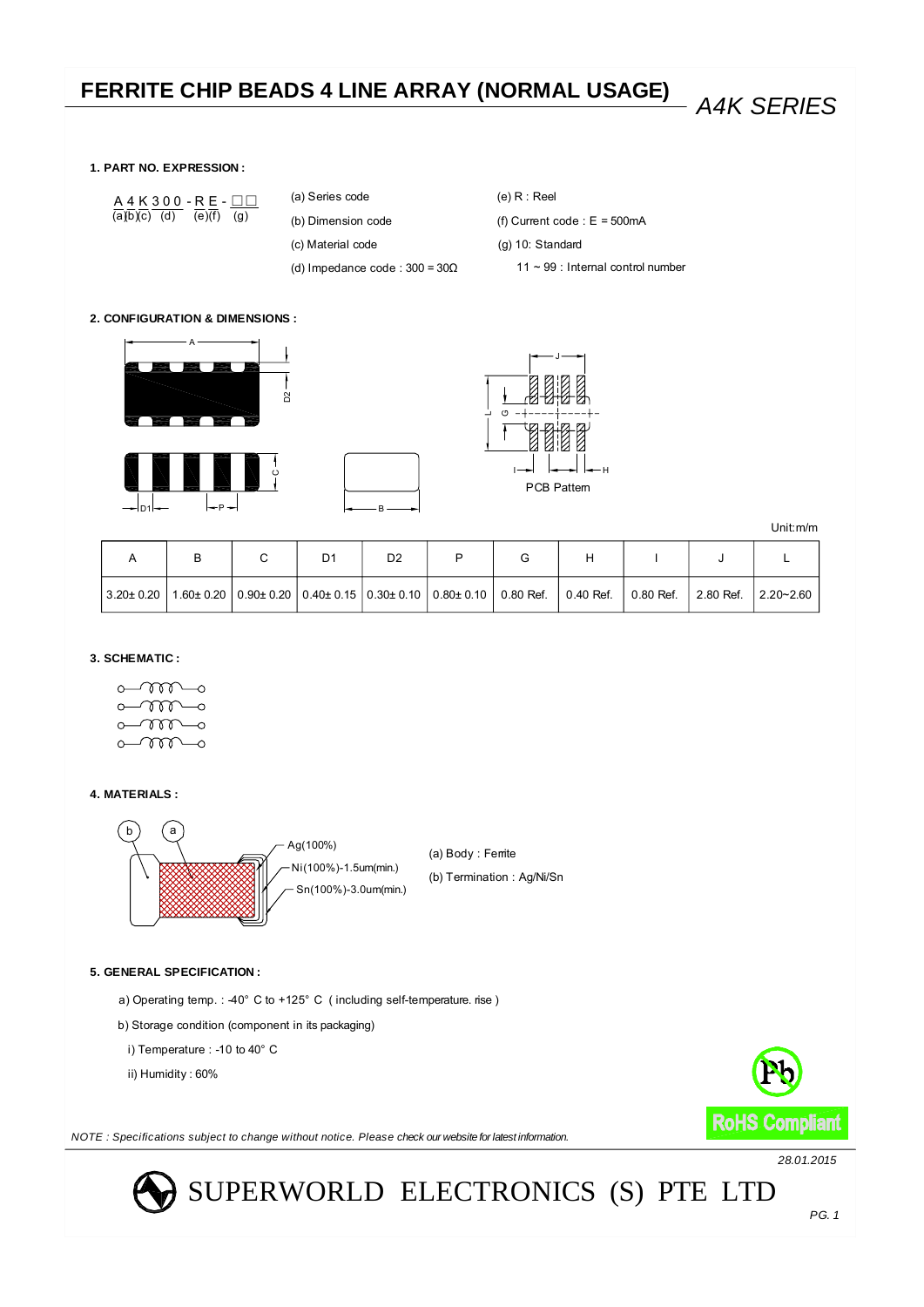### *A4K SERIES* **FERRITE CHIP BEADS 4 LINE ARRAY (NORMAL USAGE)**

### **1. PART NO. EXPRESSION :**

 $(a)b)(c)$  (d)  $(e)(f)$  (g) A 4 K 3 0 0 − R E − <u>□□</u>

(b) Dimension code (a) Series code

(c) Material code

(d) Impedance code :  $300 = 30\Omega$ 

(e) R : Reel (f) Current code :  $E = 500mA$ (g) 10: Standard 11 ~ 99 : Internal control number

### **2. CONFIGURATION & DIMENSIONS :**









Unit:m/m

|  | D1 | D <sub>2</sub> |                                                                                                                                         |  |  |  |
|--|----|----------------|-----------------------------------------------------------------------------------------------------------------------------------------|--|--|--|
|  |    |                | 3.20± 0.20   1.60± 0.20   0.90± 0.20   0.40± 0.15   0.30± 0.10   0.80± 0.10   0.80 Ref.   0.40 Ref.   0.80 Ref.   2.80 Ref.   2.20∼2.60 |  |  |  |

### **3. SCHEMATIC :**

 $\circ\text{mm}\circ$  $\sim$  $\Omega$  $\sim$  $\circ$  $\circ\hspace{-7.0pt}-\hspace{-7.0pt}m\hspace{-7.0pt}-\hspace{-7.0pt}\circ$ 

### **4. MATERIALS :**



### **5. GENERAL SPECIFICATION :**

a) Operating temp. :  $40^{\circ}$  C to  $+125^{\circ}$  C (including self-temperature. rise)

- b) Storage condition (component in its packaging)
- i) Temperature : -10 to 40° C

ii) Humidity : 60%



*NOTE : Specifications subject to change without notice. Please check our website for latest information.*

*28.01.2015*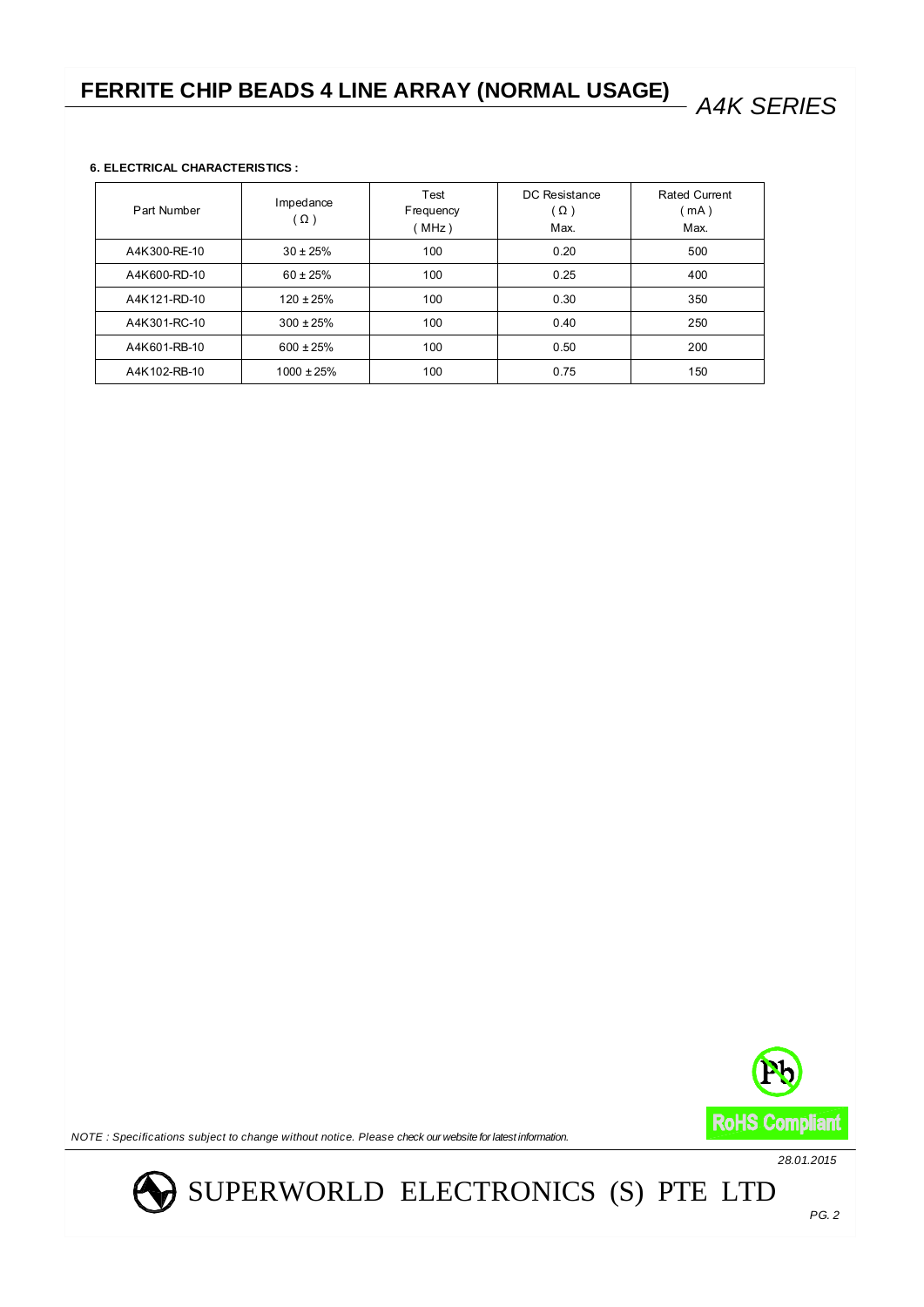### **6. ELECTRICAL CHARACTERISTICS :**

| Part Number  | Impedance<br>Ω) | Test<br>Frequency<br>MHz) | DC Resistance<br>$(\Omega)$<br>Max. | Rated Current<br>(mA)<br>Max. |
|--------------|-----------------|---------------------------|-------------------------------------|-------------------------------|
| A4K300-RE-10 | $30 \pm 25\%$   | 100                       | 0.20                                | 500                           |
| A4K600-RD-10 | $60 \pm 25\%$   | 100                       | 0.25                                | 400                           |
| A4K121-RD-10 | $120 \pm 25\%$  | 100                       | 0.30                                | 350                           |
| A4K301-RC-10 | $300 \pm 25\%$  | 100                       | 0.40                                | 250                           |
| A4K601-RB-10 | $600 \pm 25\%$  | 100                       | 0.50                                | 200                           |
| A4K102-RB-10 | $1000 \pm 25\%$ | 100                       | 0.75                                | 150                           |



*NOTE : Specifications subject to change without notice. Please check our website for latest information.*

*28.01.2015*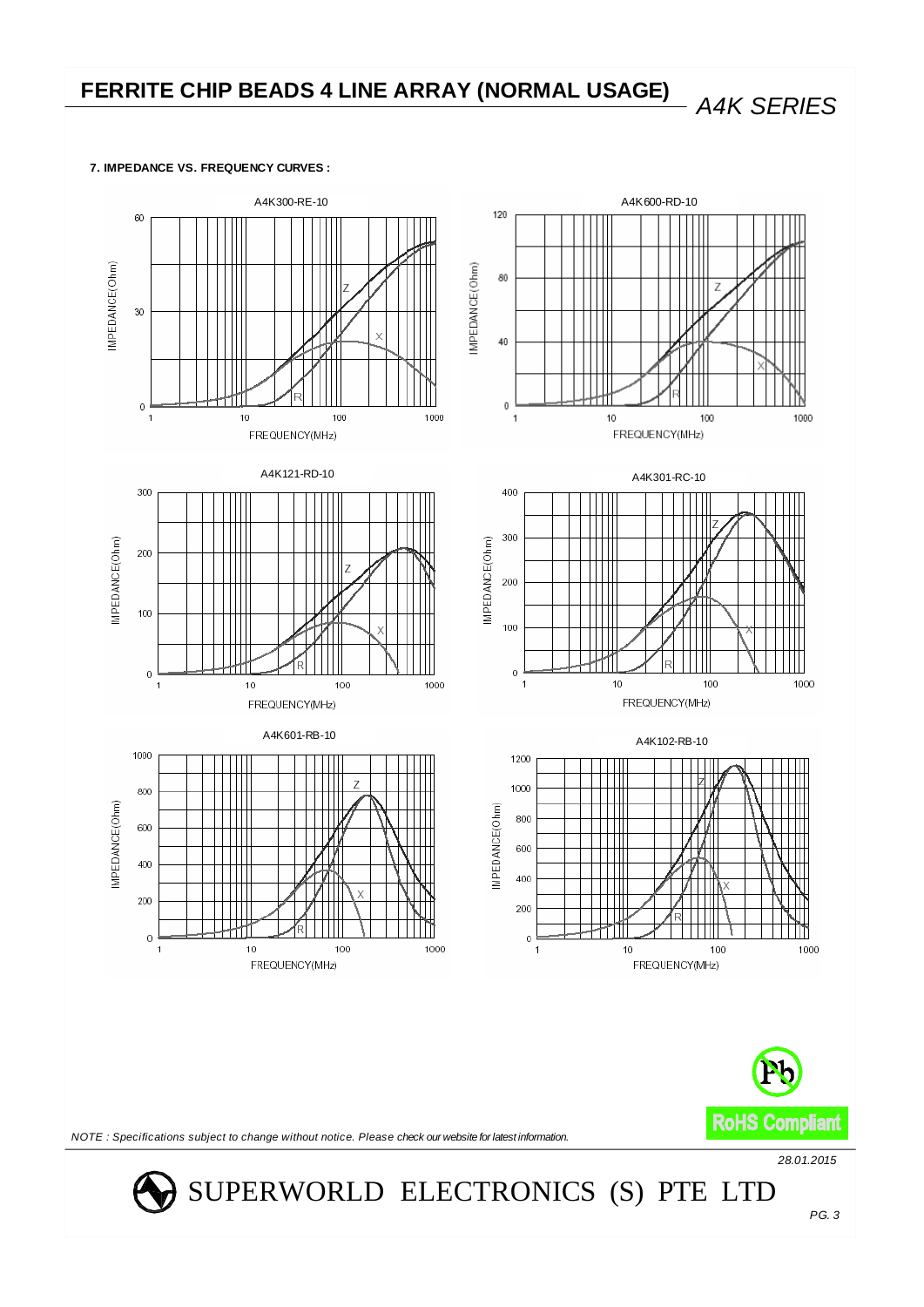**7. IMPEDANCE VS. FREQUENCY CURVES :**

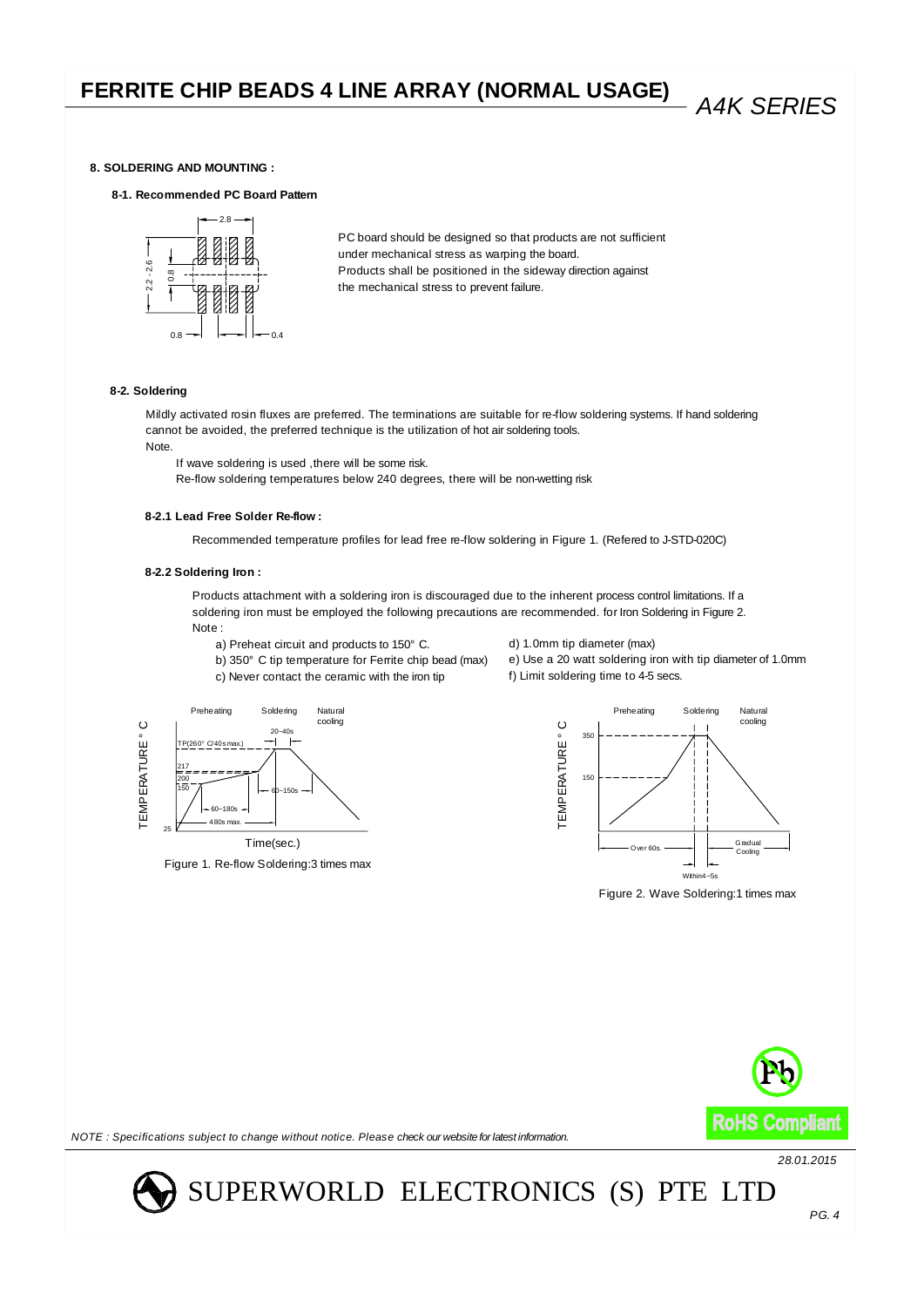### **8. SOLDERING AND MOUNTING :**

**8-1. Recommended PC Board Pattern**



under mechanical stress as warping the board. the mechanical stress to prevent failure. Products shall be positioned in the sideway direction against PC board should be designed so that products are not sufficient

### **8-2. Soldering**

cannot be avoided, the preferred technique is the utilization of hot air soldering tools. Mildly activated rosin fluxes are preferred. The terminations are suitable for re-flow soldering systems. If hand soldering Note.

If wave soldering is used ,there will be some risk.

Re-flow soldering temperatures below 240 degrees, there will be non-wetting risk

### **8-2.1 Lead Free Solder Re-flow :**

Recommended temperature profiles for lead free re-flow soldering in Figure 1. (Refered to J-STD-020C)

### **8-2.2 Soldering Iron :**

Preheating

TP(260° C/40s max.)

150

200 217

25

TEMPERATURE ° C

EMPERATURE

ိ

60~180s  $480e$  m

Figure 1. Re-flow Soldering:3 times max

Time(sec.)

60~150s

20~40s Soldering Natural

Products attachment with a soldering iron is discouraged due to the inherent process control limitations. If a soldering iron must be employed the following precautions are recommended. for Iron Soldering in Figure 2. Note :

- a) Preheat circuit and products to 150° C.
- b) 350° C tip temperature for Ferrite chip bead (max)
- c) Never contact the ceramic with the iron tip

cooling



e) Use a 20 watt soldering iron with tip diameter of 1.0mm

f) Limit soldering time to 4-5 secs.

d) 1.0mm tip diameter (max)

Figure 2. Wave Soldering:1 times max



*NOTE : Specifications subject to change without notice. Please check our website for latest information.*

*28.01.2015*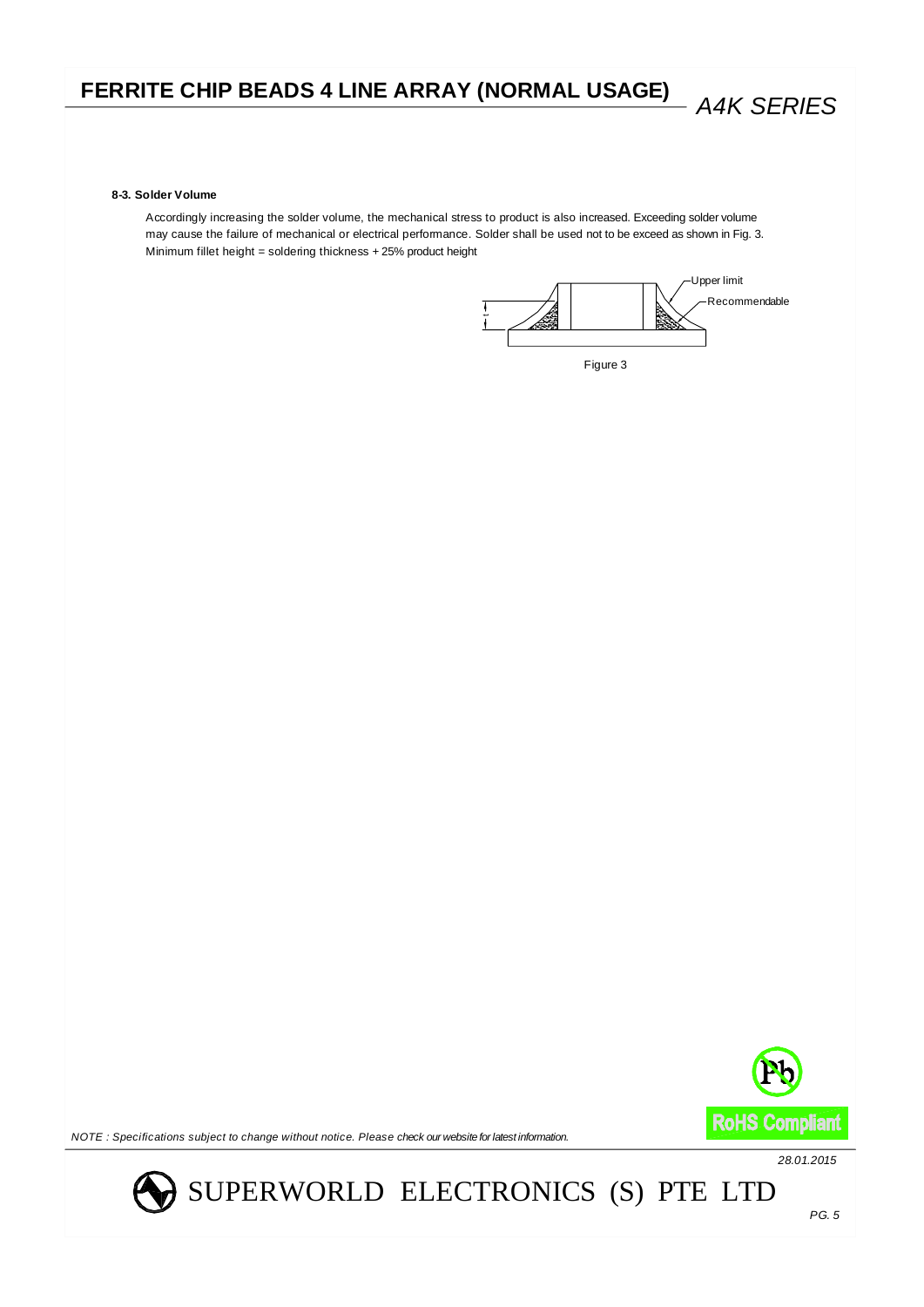#### **8-3. Solder Volume**

may cause the failure of mechanical or electrical performance. Solder shall be used not to be exceed as shown in Fig. 3. Accordingly increasing the solder volume, the mechanical stress to product is also increased. Exceeding solder volume Minimum fillet height = soldering thickness + 25% product height



Figure 3



*NOTE : Specifications subject to change without notice. Please check our website for latest information.*

*28.01.2015*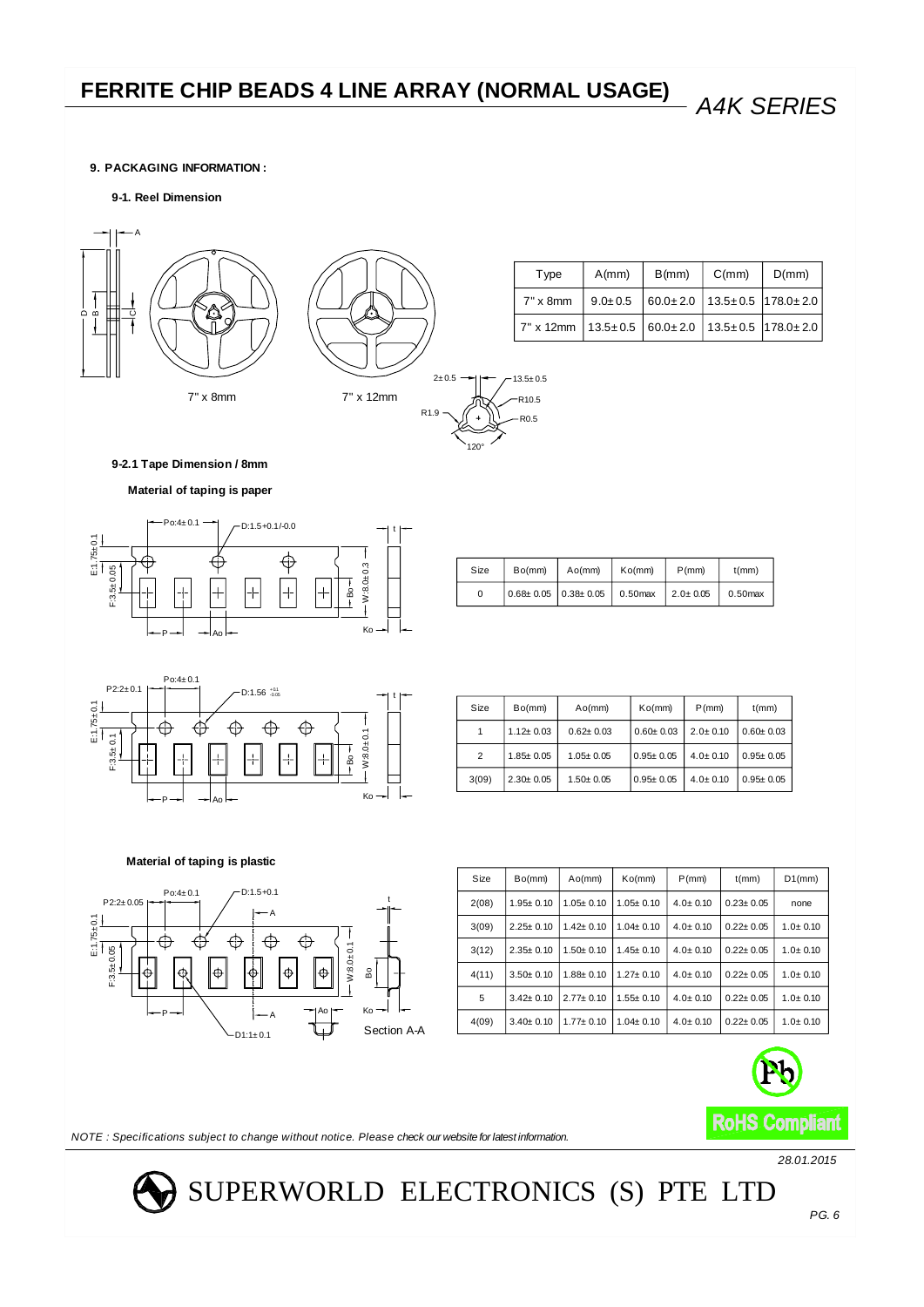### **9. PACKAGING INFORMATION :**

### **9-1. Reel Dimension**





| Type                                                                           | $A$ (mm) | B(mm) | C(mm) | D(mm) |
|--------------------------------------------------------------------------------|----------|-------|-------|-------|
| 7" x 8mm   $9.0 \pm 0.5$   $60.0 \pm 2.0$   $13.5 \pm 0.5$   $178.0 \pm 2.0$   |          |       |       |       |
| 7" x 12mm   $13.5 \pm 0.5$   $60.0 \pm 2.0$   $13.5 \pm 0.5$   $178.0 \pm 2.0$ |          |       |       |       |

**9-2.1 Tape Dimension / 8mm**

### **Material of taping is paper**



| Size | Bo(mm)                          | A <sub>O</sub> (mm) | K <sub>O</sub> (mm) | $P$ (mm)       | $t$ (mm)   |
|------|---------------------------------|---------------------|---------------------|----------------|------------|
| 0    | $0.68 \pm 0.05$ $0.38 \pm 0.05$ |                     | $0.50$ max          | $2.0 \pm 0.05$ | $0.50$ max |

R0.5 R10.5  $13.5 \pm 0.5$ 



| Size  | Bo(mm)          | A <sub>O</sub> (mm) | K <sub>O</sub> (mm) | $P$ (mm)       | $t$ (mm)        |
|-------|-----------------|---------------------|---------------------|----------------|-----------------|
|       | $1.12 \pm 0.03$ | $0.62 + 0.03$       | $0.60 \pm 0.03$     | $2.0 \pm 0.10$ | $0.60 \pm 0.03$ |
| 2     | $1.85 \pm 0.05$ | $1.05 + 0.05$       | $0.95 \pm 0.05$     | $4.0 \pm 0.10$ | $0.95 \pm 0.05$ |
| 3(09) | $2.30 \pm 0.05$ | $1.50 + 0.05$       | $0.95 \pm 0.05$     | $4.0 \pm 0.10$ | $0.95 \pm 0.05$ |

### **Material of taping is plastic**



| Size  | Bo(mm)          | A <sub>O</sub> (mm) | Ko(mm)          | $P$ (mm)       | $t$ (mm)        | $D1$ (mm)    |
|-------|-----------------|---------------------|-----------------|----------------|-----------------|--------------|
| 2(08) | $1.95 \pm 0.10$ | $1.05 + 0.10$       | $1.05 \pm 0.10$ | $4.0 \pm 0.10$ | $0.23 \pm 0.05$ | none         |
| 3(09) | $2.25 \pm 0.10$ | $1.42 + 0.10$       | $1.04 \pm 0.10$ | $4.0 \pm 0.10$ | $0.22 + 0.05$   | $1.0 + 0.10$ |
| 3(12) | $2.35 \pm 0.10$ | $1.50 + 0.10$       | $1.45 \pm 0.10$ | $4.0 \pm 0.10$ | $0.22 \pm 0.05$ | $1.0 + 0.10$ |
| 4(11) | $3.50 + 0.10$   | $1.88 + 0.10$       | $1.27 \pm 0.10$ | $4.0 \pm 0.10$ | $0.22 + 0.05$   | $1.0 + 0.10$ |
| 5     | $3.42 \pm 0.10$ | $2.77 + 0.10$       | $1.55 \pm 0.10$ | $4.0 \pm 0.10$ | $0.22 \pm 0.05$ | $1.0 + 0.10$ |
| 4(09) | $3.40 \pm 0.10$ | $1.77 \pm 0.10$     | $1.04 \pm 0.10$ | $4.0 \pm 0.10$ | $0.22 \pm 0.05$ | $1.0 + 0.10$ |



*NOTE : Specifications subject to change without notice. Please check our website for latest information.*

*28.01.2015*